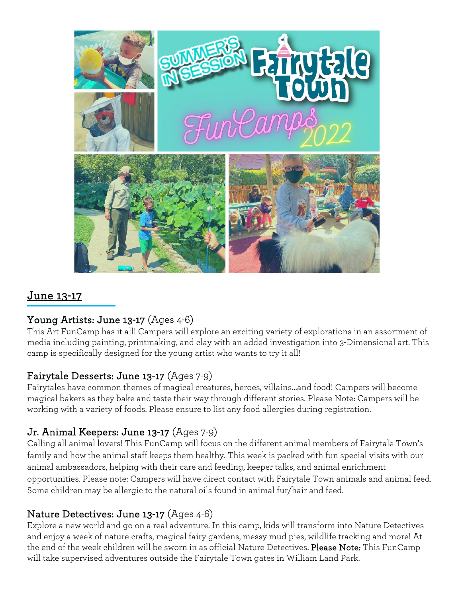

# June 13-17

# Young Artists: June 13-17 (Ages 4-6)

This Art FunCamp has it all! Campers will explore an exciting variety of explorations in an assortment of media including painting, printmaking, and clay with an added investigation into 3-Dimensional art. This camp is specifically designed for the young artist who wants to try it all!

# Fairytale Desserts: June 13-17 (Ages 7-9)

Fairytales have common themes of magical creatures, heroes, villains…and food! Campers will become magical bakers as they bake and taste their way through different stories. Please Note: Campers will be working with a variety of foods. Please ensure to list any food allergies during registration.

# Jr. Animal Keepers: June 13-17 (Ages 7-9)

Calling all animal lovers! This FunCamp will focus on the different animal members of Fairytale Town's family and how the animal staff keeps them healthy. This week is packed with fun special visits with our animal ambassadors, helping with their care and feeding, keeper talks, and animal enrichment opportunities. Please note: Campers will have direct contact with Fairytale Town animals and animal feed. Some children may be allergic to the natural oils found in animal fur/hair and feed.

#### Nature Detectives: June 13-17 (Ages 4-6)

Explore a new world and go on a real adventure. In this camp, kids will transform into Nature Detectives and enjoy a week of nature crafts, magical fairy gardens, messy mud pies, wildlife tracking and more! At the end of the week children will be sworn in as official Nature Detectives. Please Note: This FunCamp will take supervised adventures outside the Fairytale Town gates in William Land Park.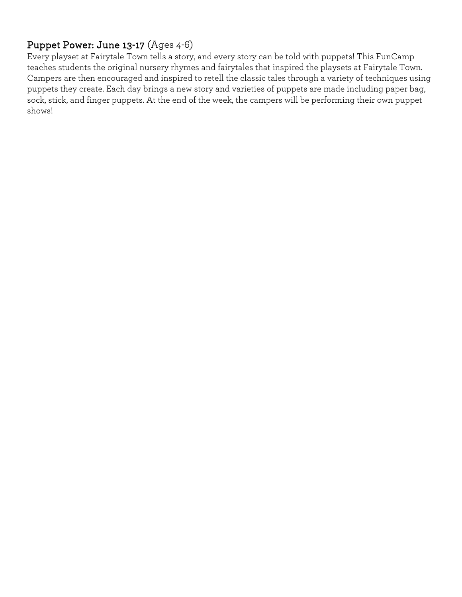# Puppet Power: June 13-17 (Ages 4-6)

Every playset at Fairytale Town tells a story, and every story can be told with puppets! This FunCamp teaches students the original nursery rhymes and fairytales that inspired the playsets at Fairytale Town. Campers are then encouraged and inspired to retell the classic tales through a variety of techniques using puppets they create. Each day brings a new story and varieties of puppets are made including paper bag, sock, stick, and finger puppets. At the end of the week, the campers will be performing their own puppet shows!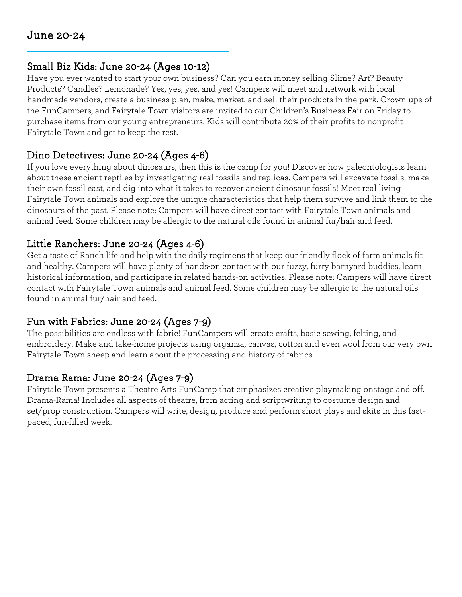Ĩ

#### Small Biz Kids: June 20-24 (Ages 10-12)

Have you ever wanted to start your own business? Can you earn money selling Slime? Art? Beauty Products? Candles? Lemonade? Yes, yes, yes, and yes! Campers will meet and network with local handmade vendors, create a business plan, make, market, and sell their products in the park. Grown-ups of the FunCampers, and Fairytale Town visitors are invited to our Children's Business Fair on Friday to purchase items from our young entrepreneurs. Kids will contribute 20% of their profits to nonprofit Fairytale Town and get to keep the rest.

#### Dino Detectives: June 20-24 (Ages 4-6)

If you love everything about dinosaurs, then this is the camp for you! Discover how paleontologists learn about these ancient reptiles by investigating real fossils and replicas. Campers will excavate fossils, make their own fossil cast, and dig into what it takes to recover ancient dinosaur fossils! Meet real living Fairytale Town animals and explore the unique characteristics that help them survive and link them to the dinosaurs of the past. Please note: Campers will have direct contact with Fairytale Town animals and animal feed. Some children may be allergic to the natural oils found in animal fur/hair and feed.

#### Little Ranchers: June 20-24 (Ages 4-6)

Get a taste of Ranch life and help with the daily regimens that keep our friendly flock of farm animals fit and healthy. Campers will have plenty of hands-on contact with our fuzzy, furry barnyard buddies, learn historical information, and participate in related hands-on activities. Please note: Campers will have direct contact with Fairytale Town animals and animal feed. Some children may be allergic to the natural oils found in animal fur/hair and feed.

# Fun with Fabrics: June 20-24 (Ages 7-9)

The possibilities are endless with fabric! FunCampers will create crafts, basic sewing, felting, and embroidery. Make and take-home projects using organza, canvas, cotton and even wool from our very own Fairytale Town sheep and learn about the processing and history of fabrics.

# Drama Rama: June 20-24 (Ages 7-9)

Fairytale Town presents a Theatre Arts FunCamp that emphasizes creative playmaking onstage and off. Drama-Rama! Includes all aspects of theatre, from acting and scriptwriting to costume design and set/prop construction. Campers will write, design, produce and perform short plays and skits in this fastpaced, fun-filled week.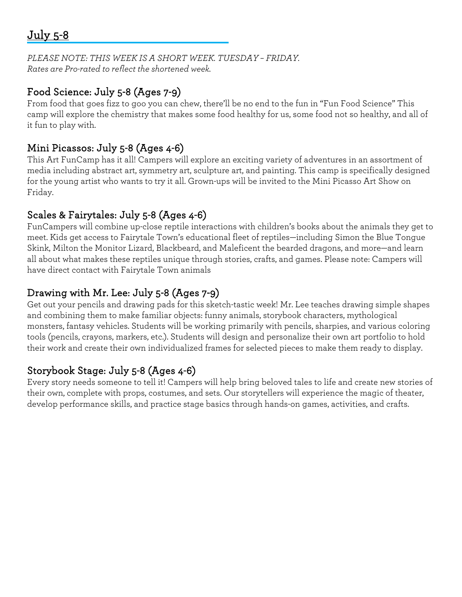# July 5-8

*PLEASE NOTE: THIS WEEK IS A SHORT WEEK. TUESDAY – FRIDAY. Rates are Pro-rated to reflect the shortened week.* 

#### Food Science: July 5-8 (Ages 7-9)

From food that goes fizz to goo you can chew, there'll be no end to the fun in "Fun Food Science" This camp will explore the chemistry that makes some food healthy for us, some food not so healthy, and all of it fun to play with.

#### Mini Picassos: July 5-8 (Ages 4-6)

This Art FunCamp has it all! Campers will explore an exciting variety of adventures in an assortment of media including abstract art, symmetry art, sculpture art, and painting. This camp is specifically designed for the young artist who wants to try it all. Grown-ups will be invited to the Mini Picasso Art Show on Friday.

#### Scales & Fairytales: July 5-8 (Ages 4-6)

FunCampers will combine up-close reptile interactions with children's books about the animals they get to meet. Kids get access to Fairytale Town's educational fleet of reptiles—including Simon the Blue Tongue Skink, Milton the Monitor Lizard, Blackbeard, and Maleficent the bearded dragons, and more—and learn all about what makes these reptiles unique through stories, crafts, and games. Please note: Campers will have direct contact with Fairytale Town animals

#### Drawing with Mr. Lee: July 5-8 (Ages 7-9)

Get out your pencils and drawing pads for this sketch-tastic week! Mr. Lee teaches drawing simple shapes and combining them to make familiar objects: funny animals, storybook characters, mythological monsters, fantasy vehicles. Students will be working primarily with pencils, sharpies, and various coloring tools (pencils, crayons, markers, etc.). Students will design and personalize their own art portfolio to hold their work and create their own individualized frames for selected pieces to make them ready to display.

# Storybook Stage: July 5-8 (Ages 4-6)

Every story needs someone to tell it! Campers will help bring beloved tales to life and create new stories of their own, complete with props, costumes, and sets. Our storytellers will experience the magic of theater, develop performance skills, and practice stage basics through hands-on games, activities, and crafts.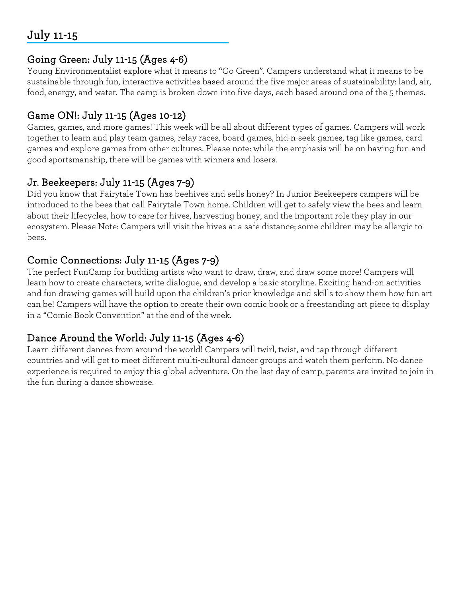# July 11-15

#### Going Green: July 11-15 (Ages 4-6)

Young Environmentalist explore what it means to "Go Green". Campers understand what it means to be sustainable through fun, interactive activities based around the five major areas of sustainability: land, air, food, energy, and water. The camp is broken down into five days, each based around one of the 5 themes.

# Game ON!: July 11-15 (Ages 10-12)

Games, games, and more games! This week will be all about different types of games. Campers will work together to learn and play team games, relay races, board games, hid-n-seek games, tag like games, card games and explore games from other cultures. Please note: while the emphasis will be on having fun and good sportsmanship, there will be games with winners and losers.

# Jr. Beekeepers: July 11-15 (Ages 7-9)

Did you know that Fairytale Town has beehives and sells honey? In Junior Beekeepers campers will be introduced to the bees that call Fairytale Town home. Children will get to safely view the bees and learn about their lifecycles, how to care for hives, harvesting honey, and the important role they play in our ecosystem. Please Note: Campers will visit the hives at a safe distance; some children may be allergic to bees.

#### Comic Connections: July 11-15 (Ages 7-9)

The perfect FunCamp for budding artists who want to draw, draw, and draw some more! Campers will learn how to create characters, write dialogue, and develop a basic storyline. Exciting hand-on activities and fun drawing games will build upon the children's prior knowledge and skills to show them how fun art can be! Campers will have the option to create their own comic book or a freestanding art piece to display in a "Comic Book Convention" at the end of the week.

# Dance Around the World: July 11-15 (Ages 4-6)

Learn different dances from around the world! Campers will twirl, twist, and tap through different countries and will get to meet different multi-cultural dancer groups and watch them perform. No dance experience is required to enjoy this global adventure. On the last day of camp, parents are invited to join in the fun during a dance showcase.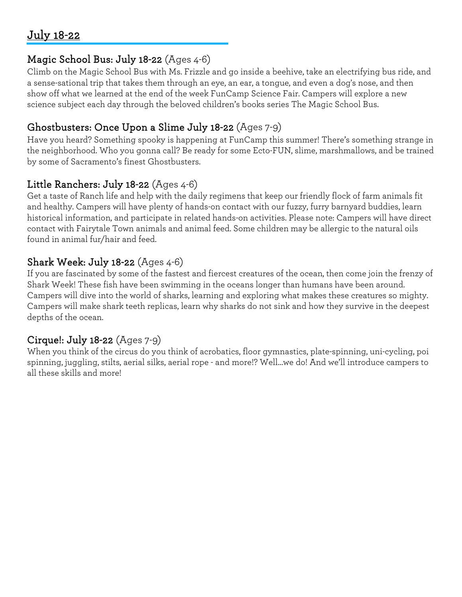# July 18-22

#### Magic School Bus: July 18-22 (Ages 4-6)

Climb on the Magic School Bus with Ms. Frizzle and go inside a beehive, take an electrifying bus ride, and a sense-sational trip that takes them through an eye, an ear, a tongue, and even a dog's nose, and then show off what we learned at the end of the week FunCamp Science Fair. Campers will explore a new science subject each day through the beloved children's books series The Magic School Bus.

# Ghostbusters: Once Upon a Slime July 18-22 (Ages 7-9)

Have you heard? Something spooky is happening at FunCamp this summer! There's something strange in the neighborhood. Who you gonna call? Be ready for some Ecto-FUN, slime, marshmallows, and be trained by some of Sacramento's finest Ghostbusters.

# Little Ranchers: July 18-22 (Ages 4-6)

Get a taste of Ranch life and help with the daily regimens that keep our friendly flock of farm animals fit and healthy. Campers will have plenty of hands-on contact with our fuzzy, furry barnyard buddies, learn historical information, and participate in related hands-on activities. Please note: Campers will have direct contact with Fairytale Town animals and animal feed. Some children may be allergic to the natural oils found in animal fur/hair and feed.

# Shark Week: July 18-22 (Ages 4-6)

If you are fascinated by some of the fastest and fiercest creatures of the ocean, then come join the frenzy of Shark Week! These fish have been swimming in the oceans longer than humans have been around. Campers will dive into the world of sharks, learning and exploring what makes these creatures so mighty. Campers will make shark teeth replicas, learn why sharks do not sink and how they survive in the deepest depths of the ocean.

# Cirque!: July 18-22 (Ages 7-9)

When you think of the circus do you think of acrobatics, floor gymnastics, plate-spinning, uni-cycling, poi spinning, juggling, stilts, aerial silks, aerial rope - and more!? Well…we do! And we'll introduce campers to all these skills and more!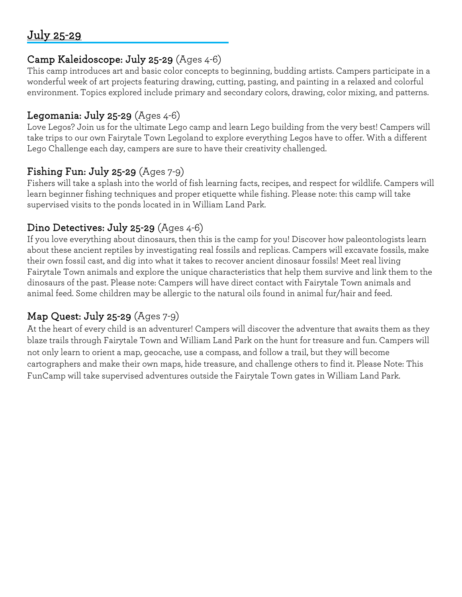# July 25-29

#### Camp Kaleidoscope: July 25-29 (Ages 4-6)

This camp introduces art and basic color concepts to beginning, budding artists. Campers participate in a wonderful week of art projects featuring drawing, cutting, pasting, and painting in a relaxed and colorful environment. Topics explored include primary and secondary colors, drawing, color mixing, and patterns.

#### Legomania: July 25-29  $(Ages 4-6)$

Love Legos? Join us for the ultimate Lego camp and learn Lego building from the very best! Campers will take trips to our own Fairytale Town Legoland to explore everything Legos have to offer. With a different Lego Challenge each day, campers are sure to have their creativity challenged.

#### Fishing Fun: July 25-29 (Ages 7-9)

Fishers will take a splash into the world of fish learning facts, recipes, and respect for wildlife. Campers will learn beginner fishing techniques and proper etiquette while fishing. Please note: this camp will take supervised visits to the ponds located in in William Land Park.

#### Dino Detectives: July 25-29 (Ages 4-6)

If you love everything about dinosaurs, then this is the camp for you! Discover how paleontologists learn about these ancient reptiles by investigating real fossils and replicas. Campers will excavate fossils, make their own fossil cast, and dig into what it takes to recover ancient dinosaur fossils! Meet real living Fairytale Town animals and explore the unique characteristics that help them survive and link them to the dinosaurs of the past. Please note: Campers will have direct contact with Fairytale Town animals and animal feed. Some children may be allergic to the natural oils found in animal fur/hair and feed.

# Map Quest: July 25-29 (Ages 7-9)

At the heart of every child is an adventurer! Campers will discover the adventure that awaits them as they blaze trails through Fairytale Town and William Land Park on the hunt for treasure and fun. Campers will not only learn to orient a map, geocache, use a compass, and follow a trail, but they will become cartographers and make their own maps, hide treasure, and challenge others to find it. Please Note: This FunCamp will take supervised adventures outside the Fairytale Town gates in William Land Park.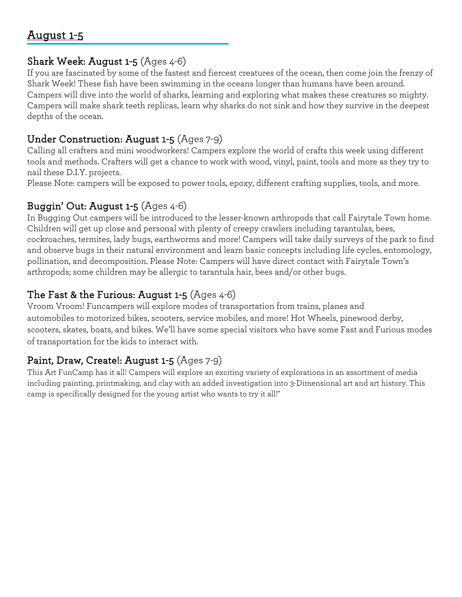# August 1-5

Ī

#### Shark Week: August 1-5 (Ages 4-6)

If you are fascinated by some of the fastest and fiercest creatures of the ocean, then come join the frenzy of Shark Week! These fish have been swimming in the oceans longer than humans have been around. Campers will dive into the world of sharks, learning and exploring what makes these creatures so mighty. Campers will make shark teeth replicas, learn why sharks do not sink and how they survive in the deepest depths of the ocean.

#### Under Construction: August 1-5 (Ages 7-9)

Calling all crafters and mini woodworkers! Campers explore the world of crafts this week using different tools and methods. Crafters will get a chance to work with wood, vinyl, paint, tools and more as they try to nail these D.I.Y. projects.

Please Note: campers will be exposed to power tools, epoxy, different crafting supplies, tools, and more.

# Buggin' Out: August 1-5 (Ages 4-6)

In Bugging Out campers will be introduced to the lesser-known arthropods that call Fairytale Town home. Children will get up close and personal with plenty of creepy crawlers including tarantulas, bees, cockroaches, termites, lady bugs, earthworms and more! Campers will take daily surveys of the park to find and observe bugs in their natural environment and learn basic concepts including life cycles, entomology, pollination, and decomposition. Please Note: Campers will have direct contact with Fairytale Town's arthropods; some children may be allergic to tarantula hair, bees and/or other bugs.

# The Fast & the Furious: August 1-5  $(Ages 4-6)$

Vroom Vroom! Funcampers will explore modes of transportation from trains, planes and automobiles to motorized bikes, scooters, service mobiles, and more! Hot Wheels, pinewood derby, scooters, skates, boats, and bikes. We'll have some special visitors who have some Fast and Furious modes of transportation for the kids to interact with.

# Paint, Draw, Create!: August 1-5 (Ages 7-9)

This Art FunCamp has it all! Campers will explore an exciting variety of explorations in an assortment of media including painting, printmaking, and clay with an added investigation into 3-Dimensional art and art history. This camp is specifically designed for the young artist who wants to try it all!"